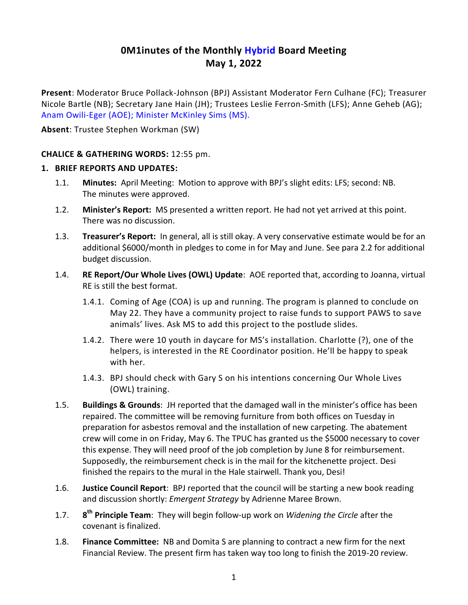# **0M1inutes of the Monthly Hybrid Board Meeting May 1, 2022**

**Present**: Moderator Bruce Pollack-Johnson (BPJ) Assistant Moderator Fern Culhane (FC); Treasurer Nicole Bartle (NB); Secretary Jane Hain (JH); Trustees Leslie Ferron-Smith (LFS); Anne Geheb (AG); Anam Owili-Eger (AOE); Minister McKinley Sims (MS).

**Absent**: Trustee Stephen Workman (SW)

### **CHALICE & GATHERING WORDS:** 12:55 pm.

#### **1. BRIEF REPORTS AND UPDATES:**

- 1.1. **Minutes:** April Meeting: Motion to approve with BPJ's slight edits: LFS; second: NB. The minutes were approved.
- 1.2. **Minister's Report:** MS presented a written report. He had not yet arrived at this point. There was no discussion.
- 1.3. **Treasurer's Report:** In general, all is still okay. A very conservative estimate would be for an additional \$6000/month in pledges to come in for May and June. See para 2.2 for additional budget discussion.
- 1.4. **RE Report/Our Whole Lives (OWL) Update**: AOE reported that, according to Joanna, virtual RE is still the best format.
	- 1.4.1. Coming of Age (COA) is up and running. The program is planned to conclude on May 22. They have a community project to raise funds to support PAWS to save animals' lives. Ask MS to add this project to the postlude slides.
	- 1.4.2. There were 10 youth in daycare for MS's installation. Charlotte (?), one of the helpers, is interested in the RE Coordinator position. He'll be happy to speak with her.
	- 1.4.3. BPJ should check with Gary S on his intentions concerning Our Whole Lives (OWL) training.
- 1.5. **Buildings & Grounds**: JH reported that the damaged wall in the minister's office has been repaired. The committee will be removing furniture from both offices on Tuesday in preparation for asbestos removal and the installation of new carpeting. The abatement crew will come in on Friday, May 6. The TPUC has granted us the \$5000 necessary to cover this expense. They will need proof of the job completion by June 8 for reimbursement. Supposedly, the reimbursement check is in the mail for the kitchenette project. Desi finished the repairs to the mural in the Hale stairwell. Thank you, Desi!
- 1.6. **Justice Council Report**: BPJ reported that the council will be starting a new book reading and discussion shortly: *Emergent Strategy* by Adrienne Maree Brown.
- $1.7.$ **th Principle Team**: They will begin follow-up work on *Widening the Circle* after the covenant is finalized.
- 1.8. **Finance Committee:** NB and Domita S are planning to contract a new firm for the next Financial Review. The present firm has taken way too long to finish the 2019-20 review.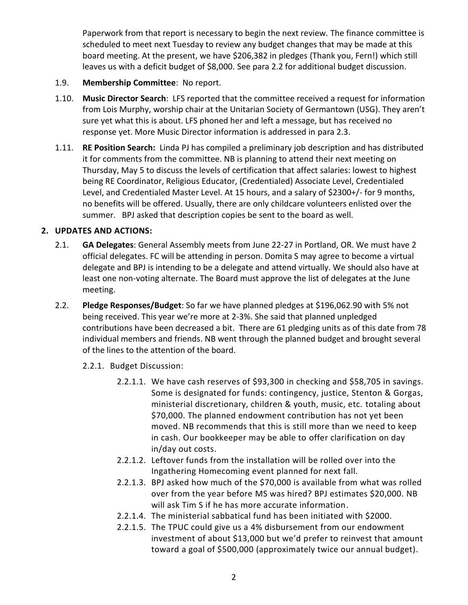Paperwork from that report is necessary to begin the next review. The finance committee is scheduled to meet next Tuesday to review any budget changes that may be made at this board meeting. At the present, we have \$206,382 in pledges (Thank you, Fern!) which still leaves us with a deficit budget of \$8,000. See para 2.2 for additional budget discussion.

- 1.9. **Membership Committee**: No report.
- 1.10. **Music Director Search**: LFS reported that the committee received a request for information from Lois Murphy, worship chair at the Unitarian Society of Germantown (USG). They aren't sure yet what this is about. LFS phoned her and left a message, but has received no response yet. More Music Director information is addressed in para 2.3.
- 1.11. **RE Position Search:** Linda PJ has compiled a preliminary job description and has distributed it for comments from the committee. NB is planning to attend their next meeting on Thursday, May 5 to discuss the levels of certification that affect salaries: lowest to highest being RE Coordinator, Religious Educator, (Credentialed) Associate Level, Credentialed Level, and Credentialed Master Level. At 15 hours, and a salary of \$2300+/- for 9 months, no benefits will be offered. Usually, there are only childcare volunteers enlisted over the summer. BPJ asked that description copies be sent to the board as well.

#### **2. UPDATES AND ACTIONS:**

- 2.1. **GA Delegates**: General Assembly meets from June 22-27 in Portland, OR. We must have 2 official delegates. FC will be attending in person. Domita S may agree to become a virtual delegate and BPJ is intending to be a delegate and attend virtually. We should also have at least one non-voting alternate. The Board must approve the list of delegates at the June meeting.
- 2.2. **Pledge Responses/Budget**: So far we have planned pledges at \$196,062.90 with 5% not being received. This year we're more at 2-3%. She said that planned unpledged contributions have been decreased a bit. There are 61 pledging units as of this date from 78 individual members and friends. NB went through the planned budget and brought several of the lines to the attention of the board.
	- 2.2.1. Budget Discussion:
		- 2.2.1.1. We have cash reserves of \$93,300 in checking and \$58,705 in savings. Some is designated for funds: contingency, justice, Stenton & Gorgas, ministerial discretionary, children & youth, music, etc. totaling about \$70,000. The planned endowment contribution has not yet been moved. NB recommends that this is still more than we need to keep in cash. Our bookkeeper may be able to offer clarification on day in/day out costs.
		- 2.2.1.2. Leftover funds from the installation will be rolled over into the Ingathering Homecoming event planned for next fall.
		- 2.2.1.3. BPJ asked how much of the \$70,000 is available from what was rolled over from the year before MS was hired? BPJ estimates \$20,000. NB will ask Tim S if he has more accurate information.
		- 2.2.1.4. The ministerial sabbatical fund has been initiated with \$2000.
		- 2.2.1.5. The TPUC could give us a 4% disbursement from our endowment investment of about \$13,000 but we'd prefer to reinvest that amount toward a goal of \$500,000 (approximately twice our annual budget).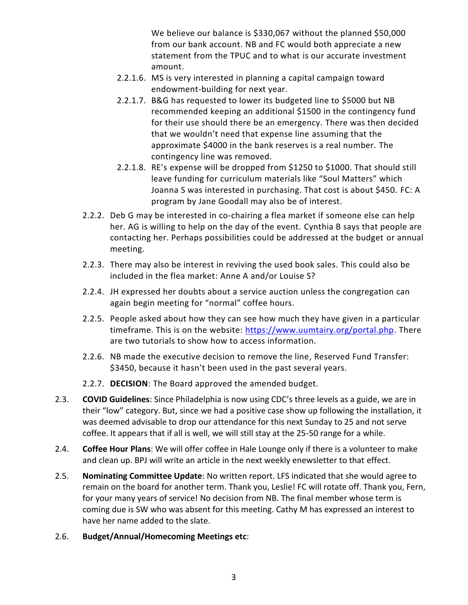We believe our balance is \$330,067 without the planned \$50,000 from our bank account. NB and FC would both appreciate a new statement from the TPUC and to what is our accurate investment amount.

- 2.2.1.6. MS is very interested in planning a capital campaign toward endowment-building for next year.
- 2.2.1.7. B&G has requested to lower its budgeted line to \$5000 but NB recommended keeping an additional \$1500 in the contingency fund for their use should there be an emergency. There was then decided that we wouldn't need that expense line assuming that the approximate \$4000 in the bank reserves is a real number. The contingency line was removed.
- 2.2.1.8. RE's expense will be dropped from \$1250 to \$1000. That should still leave funding for curriculum materials like "Soul Matters" which Joanna S was interested in purchasing. That cost is about \$450. FC: A program by Jane Goodall may also be of interest.
- 2.2.2. Deb G may be interested in co-chairing a flea market if someone else can help her. AG is willing to help on the day of the event. Cynthia B says that people are contacting her. Perhaps possibilities could be addressed at the budget or annual meeting.
- 2.2.3. There may also be interest in reviving the used book sales. This could also be included in the flea market: Anne A and/or Louise S?
- 2.2.4. JH expressed her doubts about a service auction unless the congregation can again begin meeting for "normal" coffee hours.
- 2.2.5. People asked about how they can see how much they have given in a particular timeframe. This is on the website: [https://www.uumtairy.org/portal.php.](https://www.uumtairy.org/portal.php) There are two tutorials to show how to access information.
- 2.2.6. NB made the executive decision to remove the line, Reserved Fund Transfer: \$3450, because it hasn't been used in the past several years.
- 2.2.7. **DECISION**: The Board approved the amended budget.
- 2.3. **COVID Guidelines**: Since Philadelphia is now using CDC's three levels as a guide, we are in their "low" category. But, since we had a positive case show up following the installation, it was deemed advisable to drop our attendance for this next Sunday to 25 and not serve coffee. It appears that if all is well, we will still stay at the 25-50 range for a while.
- 2.4. **Coffee Hour Plans**: We will offer coffee in Hale Lounge only if there is a volunteer to make and clean up. BPJ will write an article in the next weekly enewsletter to that effect.
- 2.5. **Nominating Committee Update**: No written report. LFS indicated that she would agree to remain on the board for another term. Thank you, Leslie! FC will rotate off. Thank you, Fern, for your many years of service! No decision from NB. The final member whose term is coming due is SW who was absent for this meeting. Cathy M has expressed an interest to have her name added to the slate.
- 2.6. **Budget/Annual/Homecoming Meetings etc**: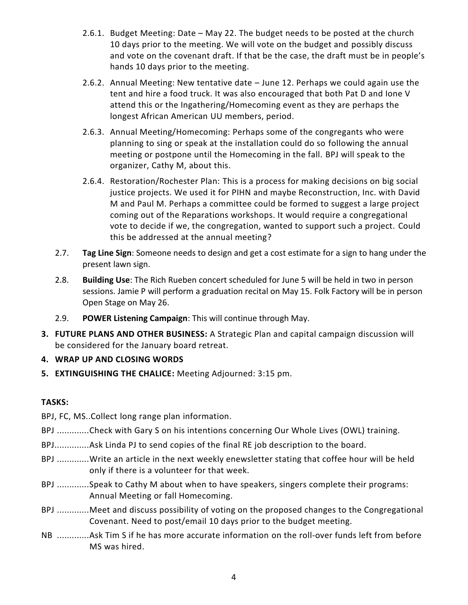- 2.6.1. Budget Meeting: Date May 22. The budget needs to be posted at the church 10 days prior to the meeting. We will vote on the budget and possibly discuss and vote on the covenant draft. If that be the case, the draft must be in people's hands 10 days prior to the meeting.
- 2.6.2. Annual Meeting: New tentative date June 12. Perhaps we could again use the tent and hire a food truck. It was also encouraged that both Pat D and Ione V attend this or the Ingathering/Homecoming event as they are perhaps the longest African American UU members, period.
- 2.6.3. Annual Meeting/Homecoming: Perhaps some of the congregants who were planning to sing or speak at the installation could do so following the annual meeting or postpone until the Homecoming in the fall. BPJ will speak to the organizer, Cathy M, about this.
- 2.6.4. Restoration/Rochester Plan: This is a process for making decisions on big social justice projects. We used it for PIHN and maybe Reconstruction, Inc. with David M and Paul M. Perhaps a committee could be formed to suggest a large project coming out of the Reparations workshops. It would require a congregational vote to decide if we, the congregation, wanted to support such a project. Could this be addressed at the annual meeting?
- 2.7. **Tag Line Sign**: Someone needs to design and get a cost estimate for a sign to hang under the present lawn sign.
- 2.8. **Building Use**: The Rich Rueben concert scheduled for June 5 will be held in two in person sessions. Jamie P will perform a graduation recital on May 15. Folk Factory will be in person Open Stage on May 26.
- 2.9. **POWER Listening Campaign**: This will continue through May.
- **3. FUTURE PLANS AND OTHER BUSINESS:** A Strategic Plan and capital campaign discussion will be considered for the January board retreat.

**4. WRAP UP AND CLOSING WORDS**

**5. EXTINGUISHING THE CHALICE:** Meeting Adjourned: 3:15 pm.

# **TASKS:**

- BPJ, FC, MS..Collect long range plan information.
- BPJ .............Check with Gary S on his intentions concerning Our Whole Lives (OWL) training.
- BPJ..............Ask Linda PJ to send copies of the final RE job description to the board.
- BPJ .............Write an article in the next weekly enewsletter stating that coffee hour will be held only if there is a volunteer for that week.
- BPJ .............Speak to Cathy M about when to have speakers, singers complete their programs: Annual Meeting or fall Homecoming.
- BPJ .............Meet and discuss possibility of voting on the proposed changes to the Congregational Covenant. Need to post/email 10 days prior to the budget meeting.
- NB .............Ask Tim S if he has more accurate information on the roll-over funds left from before MS was hired.